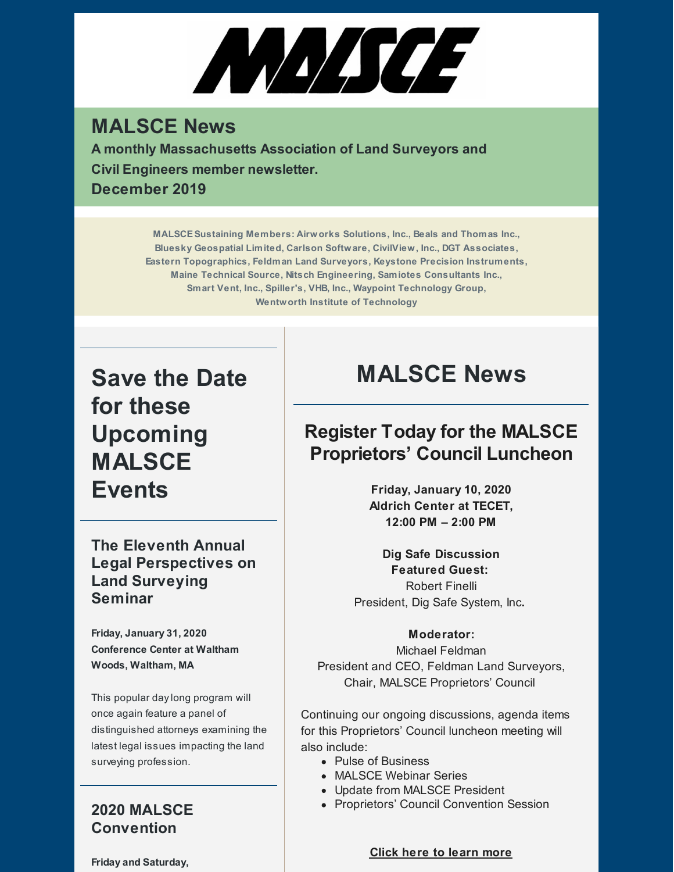

### **MALSCE News**

**A monthly Massachusetts Association of Land Surveyors and Civil Engineers member newsletter. December 2019**

> **MALSCESustaining Members: Airworks Solutions, Inc., Beals and Thomas Inc., Bluesky Geospatial Limited, Carlson Software, CivilView, Inc., DGT Associates, Eastern Topographics, Feldman Land Surveyors, Keystone Precision Instruments, Maine Technical Source, Nitsch Engineering, Samiotes Consultants Inc., Smart Vent, Inc., Spiller's, VHB, Inc., Waypoint Technology Group, Wentworth Institute of Technology**

**Save the Date for these Upcoming MALSCE Events**

**The Eleventh Annual Legal Perspectives on Land Surveying Seminar**

**Friday, January 31, 2020 Conference Center at Waltham Woods, Waltham, MA**

This popular daylong program will once again feature a panel of distinguished attorneys examining the latest legal issues impacting the land surveying profession.

#### **2020 MALSCE Convention**

**Friday and Saturday,**

# **MALSCE News**

### **Register Today for the MALSCE Proprietors' Council Luncheon**

**Friday, January 10, 2020 Aldrich Center at TECET, 12:00 PM – 2:00 PM**

**Dig Safe Discussion Featured Guest:** Robert Finelli President, Dig Safe System, Inc**.**

#### **Moderator:**

Michael Feldman President and CEO, Feldman Land Surveyors, Chair, MALSCE Proprietors' Council

Continuing our ongoing discussions, agenda items for this Proprietors' Council luncheon meeting will also include:

- Pulse of Business
- MALSCE Webinar Series
- Update from MALSCE President
- Proprietors' Council Convention Session

**Click here to [learn](https://www.malsce.org/events/malsce-proprietors-council-luncheon-2821) more**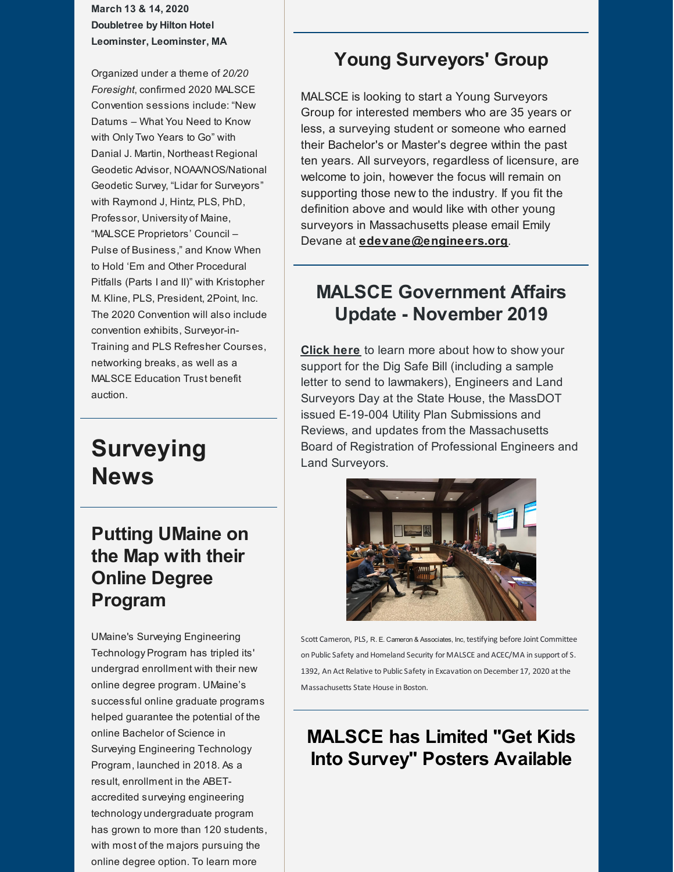**March 13 & 14, 2020 Doubletree by Hilton Hotel Leominster, Leominster, MA**

Organized under a theme of *20/20 Foresight*, confirmed 2020 MALSCE Convention sessions include: "New Datums – What You Need to Know with Only Two Years to Go" with Danial J. Martin, Northeast Regional Geodetic Advisor, NOAA/NOS/National Geodetic Survey, "Lidar for Surveyors" with Raymond J, Hintz, PLS, PhD, Professor, University of Maine, "MALSCE Proprietors' Council – Pulse of Business," and Know When to Hold 'Em and Other Procedural Pitfalls (Parts I and II)" with Kristopher M. Kline, PLS, President, 2Point, Inc. The 2020 Convention will also include convention exhibits, Surveyor-in-Training and PLS Refresher Courses, networking breaks, as well as a MALSCE Education Trust benefit auction.

### **Surveying News**

### **Putting UMaine on the Map with their Online Degree Program**

UMaine's Surveying Engineering Technology Program has tripled its' undergrad enrollment with their new online degree program. UMaine's successful online graduate programs helped guarantee the potential of the online Bachelor of Science in Surveying Engineering Technology Program, launched in 2018. As a result, enrollment in the ABETaccredited surveying engineering technology undergraduate program has grown to more than 120 students, with most of the majors pursuing the online degree option. To learn more

#### **Young Surveyors' Group**

MALSCE is looking to start a Young Surveyors Group for interested members who are 35 years or less, a surveying student or someone who earned their Bachelor's or Master's degree within the past ten years. All surveyors, regardless of licensure, are welcome to join, however the focus will remain on supporting those new to the industry. If you fit the definition above and would like with other young surveyors in Massachusetts please email Emily Devane at **[edevane@engineers.org](mailto:edevane@engineers.org)**.

#### **MALSCE Government Affairs Update - November 2019**

**[Click](https://www.malsce.org/news-publications/news/malsce-government-affairs-update-december-2019-2818) here** to learn more about how to show your support for the Dig Safe Bill (including a sample letter to send to lawmakers), Engineers and Land Surveyors Day at the State House, the MassDOT issued E-19-004 Utility Plan Submissions and Reviews, and updates from the Massachusetts Board of Registration of Professional Engineers and Land Surveyors.



Scott Cameron, PLS, R. E. Cameron & Associates, Inc, testifying before Joint Committee on Public Safety and Homeland Security for MALSCE and ACEC/MA in support of S. 1392, An Act Relative to Public Safety in Excavation on December 17, 2020 at the Massachusetts State House in Boston.

### **MALSCE has Limited "Get Kids Into Survey" Posters Available**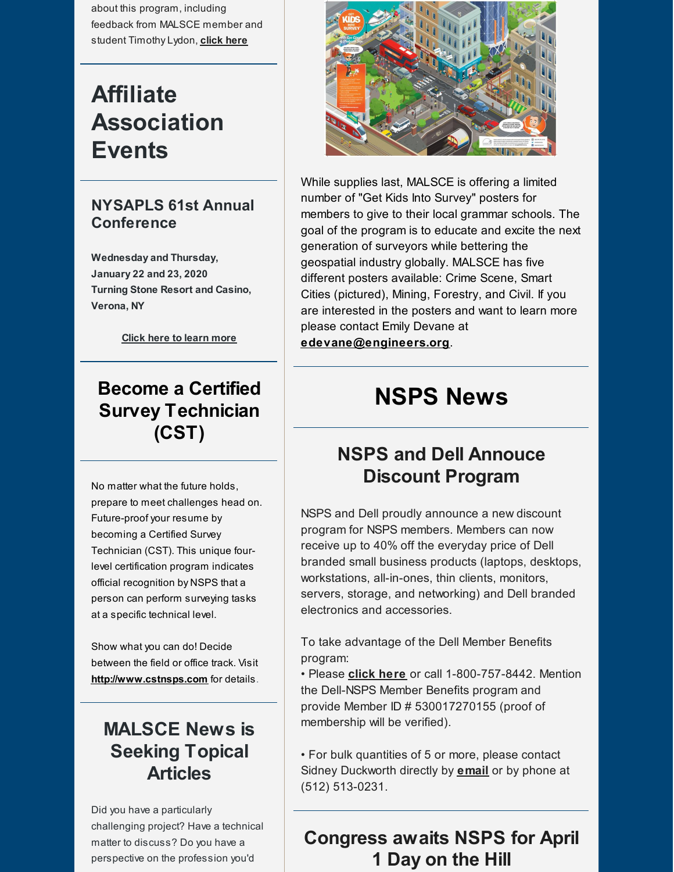about this program, including feedback from MALSCE member and student Timothy Lydon, **[click](http://files.engineers.org/file/Engineering-Magazine-2019-PuttingUMaineontheMap.pdf) here**

## **Affiliate Association Events**

#### **NYSAPLS 61st Annual Conference**

**Wednesday and Thursday, January 22 and 23, 2020 Turning Stone Resort and Casino, Verona, NY**

**Click here to [learn](https://www.nysapls.org/events/EventDetails.aspx?id=1262646&group=) more**

### **Become a Certified Survey Technician (CST)**

No matter what the future holds, prepare to meet challenges head on. Future-proof your resume by becoming a Certified Survey Technician (CST). This unique fourlevel certification program indicates official recognition by NSPS that a person can perform surveying tasks at a specific technical level.

Show what you can do! Decide between the field or office track. Visit **[http://www.cstnsps.com](http://www.cstnsps.com/)** for details.

### **MALSCE News is Seeking Topical Articles**

Did you have a particularly challenging project? Have a technical matter to discuss? Do you have a perspective on the profession you'd



While supplies last, MALSCE is offering a limited number of "Get Kids Into Survey" posters for members to give to their local grammar schools. The goal of the program is to educate and excite the next generation of surveyors while bettering the geospatial industry globally. MALSCE has five different posters available: Crime Scene, Smart Cities (pictured), Mining, Forestry, and Civil. If you are interested in the posters and want to learn more please contact Emily Devane at **[edevane@engineers.org](mailto:edevane@engineers.org)**.

# **NSPS News**

### **NSPS and Dell Annouce Discount Program**

NSPS and Dell proudly announce a new discount program for NSPS members. Members can now receive up to 40% off the everyday price of Dell branded small business products (laptops, desktops, workstations, all-in-ones, thin clients, monitors, servers, storage, and networking) and Dell branded electronics and accessories.

To take advantage of the Dell Member Benefits program:

• Please **[click](https://www.dell.com/en-us/work/shop/nsps-members/cp/nsps) here** or call 1-800-757-8442. Mention the Dell-NSPS Member Benefits program and provide Member ID # 530017270155 (proof of membership will be verified).

• For bulk quantities of 5 or more, please contact Sidney Duckworth directly by **[email](mailto:Sidney.Duckworth@Dell.com)** or by phone at (512) 513-0231.

### **Congress awaits NSPS for April 1 Day on the Hill**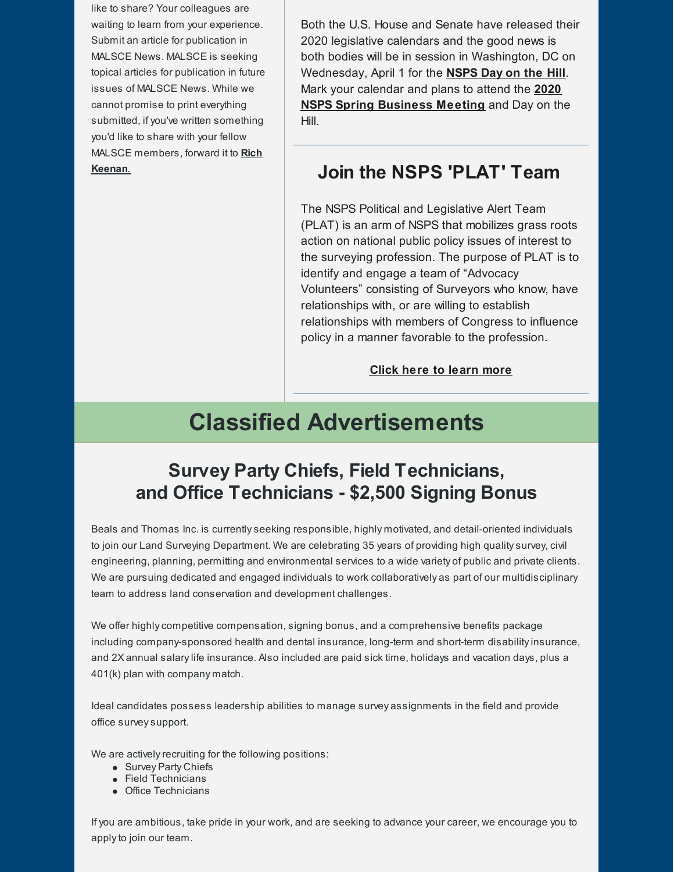like to share? Your colleagues are waiting to learn from your experience. Submit an article for publication in MALSCE News. MALSCE is seeking topical articles for publication in future issues of MALSCE News. While we cannot promise to print everything submitted, if you've written something you'd like to share with your fellow MALSCE [members,](mailto:rkeenan@engineers.org) forward it to **Rich Keenan**.

Both the U.S. House and Senate have released their 2020 legislative calendars and the good news is both bodies will be in session in Washington, DC on Wednesday, April 1 for the **[NSPS](https://www.nsps.us.com/page/2020NSPSDayontheHill) Day on the Hill**. Mark your calendar and plans to attend the **2020 NSPS Spring [Business](https://www.nsps.us.com/page/NSPSMeetings?&hhsearchterms=%22april+and+1%2c+and+2020%22) Meeting** and Day on the Hill.

#### **Join the NSPS 'PLAT' Team**

The NSPS Political and Legislative Alert Team (PLAT) is an arm of NSPS that mobilizes grass roots action on national public policy issues of interest to the surveying profession. The purpose of PLAT is to identify and engage a team of "Advocacy Volunteers" consisting of Surveyors who know, have relationships with, or are willing to establish relationships with members of Congress to influence policy in a manner favorable to the profession.

**Click here to [learn](https://www.nsps.us.com/page/PLAT) more**

# **Classified Advertisements**

#### **Survey Party Chiefs, Field Technicians, and Office Technicians - \$2,500 Signing Bonus**

Beals and Thomas Inc. is currentlyseeking responsible, highly motivated, and detail-oriented individuals to join our Land Surveying Department. We are celebrating 35 years of providing high qualitysurvey, civil engineering, planning, permitting and environmental services to a wide variety of public and private clients. We are pursuing dedicated and engaged individuals to work collaboratively as part of our multidisciplinary team to address land conservation and development challenges.

We offer highly competitive compensation, signing bonus, and a comprehensive benefits package including company-sponsored health and dental insurance, long-term and short-term disabilityinsurance, and 2X annual salarylife insurance. Also included are paid sick time, holidays and vacation days, plus a 401(k) plan with company match.

Ideal candidates possess leadership abilities to manage survey assignments in the field and provide office surveysupport.

We are actively recruiting for the following positions:

- Survey Party Chiefs
- Field Technicians
- Office Technicians

If you are ambitious, take pride in your work, and are seeking to advance your career, we encourage you to applyto join our team.